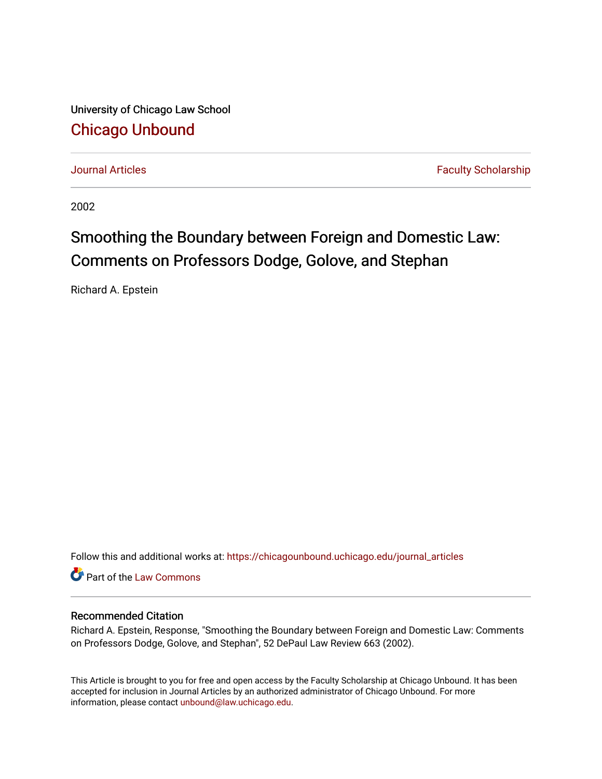University of Chicago Law School [Chicago Unbound](https://chicagounbound.uchicago.edu/)

[Journal Articles](https://chicagounbound.uchicago.edu/journal_articles) **Faculty Scholarship Journal Articles** 

2002

# Smoothing the Boundary between Foreign and Domestic Law: Comments on Professors Dodge, Golove, and Stephan

Richard A. Epstein

Follow this and additional works at: [https://chicagounbound.uchicago.edu/journal\\_articles](https://chicagounbound.uchicago.edu/journal_articles?utm_source=chicagounbound.uchicago.edu%2Fjournal_articles%2F2879&utm_medium=PDF&utm_campaign=PDFCoverPages) 

Part of the [Law Commons](http://network.bepress.com/hgg/discipline/578?utm_source=chicagounbound.uchicago.edu%2Fjournal_articles%2F2879&utm_medium=PDF&utm_campaign=PDFCoverPages)

# Recommended Citation

Richard A. Epstein, Response, "Smoothing the Boundary between Foreign and Domestic Law: Comments on Professors Dodge, Golove, and Stephan", 52 DePaul Law Review 663 (2002).

This Article is brought to you for free and open access by the Faculty Scholarship at Chicago Unbound. It has been accepted for inclusion in Journal Articles by an authorized administrator of Chicago Unbound. For more information, please contact [unbound@law.uchicago.edu](mailto:unbound@law.uchicago.edu).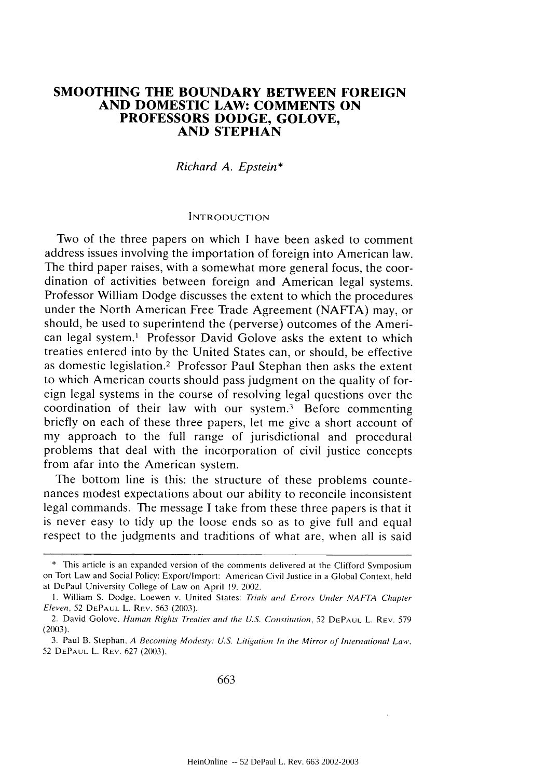#### **SMOOTHING THE BOUNDARY BETWEEN FOREIGN AND DOMESTIC LAW: COMMENTS ON PROFESSORS DODGE, GOLOVE, AND STEPHAN**

#### *Richard A. Epstein\**

#### INTRODUCTION

Two of the three papers on which I have been asked to comment address issues involving the importation of foreign into American law. The third paper raises, with a somewhat more general focus, the coordination of activities between foreign and American legal systems. Professor William Dodge discusses the extent to which the procedures under the North American Free Trade Agreement (NAFTA) may, or should, be used to superintend the (perverse) outcomes of the American legal system.1 Professor David Golove asks the extent to which treaties entered into by the United States can, or should, be effective as domestic legislation.<sup>2</sup> Professor Paul Stephan then asks the extent to which American courts should pass judgment on the quality of foreign legal systems in the course of resolving legal questions over the coordination of their law with our system.<sup>3</sup> Before commenting briefly on each of these three papers, let me give a short account of my approach to the full range of jurisdictional and procedural problems that deal with the incorporation of civil justice concepts from afar into the American system.

The bottom line is this: the structure of these problems countenances modest expectations about our ability to reconcile inconsistent legal commands. The message I take from these three papers is that it is never easy to tidy up the loose ends so as to give full and equal respect to the judgments and traditions of what are, when all is said

<sup>\*</sup> This article is an expanded version of the comments delivered at the Clifford Symposium on Tort Law and Social Policy: Export/Import: American Civil Justice in a Global Context, held at DePaul University College of Law on April *19.* 2002.

I. William **S.** Dodge. Loewen v. United States: Trials and Errors Under *NAFTA* Chapter *Eleven.* 52 **DEPAUL** L. REV. 563 (2003).

<sup>2.</sup> David Golove. *Human Rights Treaties and the U.S. Constitution*, 52 DEPAUL L. REV. 579  $(2003)$ .

<sup>3.</sup> Paul B. Stephan. *A Becoming Modesty': U.S. Litigation In the Mirror of International Law.* 52 **DEPAUL** L. REV. 627 (2003).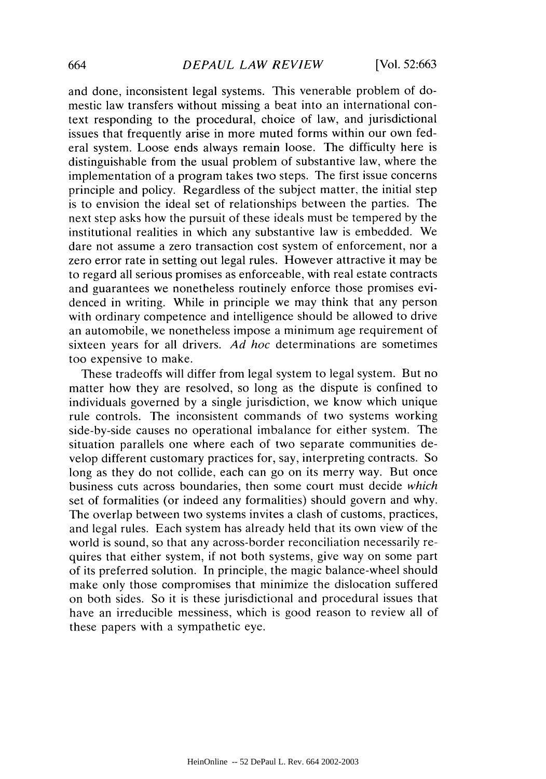and done, inconsistent legal systems. This venerable problem of domestic law transfers without missing a beat into an international context responding to the procedural, choice of law, and jurisdictional issues that frequently arise in more muted forms within our own federal system. Loose ends always remain loose. The difficulty here is distinguishable from the usual problem of substantive law, where the implementation of a program takes two steps. The first issue concerns principle and policy. Regardless of the subject matter, the initial step is to envision the ideal set of relationships between the parties. The next step asks how the pursuit of these ideals must be tempered by the institutional realities in which any substantive law is embedded. We dare not assume a zero transaction cost system of enforcement, nor a zero error rate in setting out legal rules. However attractive it may be to regard all serious promises as enforceable, with real estate contracts and guarantees we nonetheless routinely enforce those promises evidenced in writing. While in principle we may think that any person with ordinary competence and intelligence should be allowed to drive an automobile, we nonetheless impose a minimum age requirement of sixteen years for all drivers. *Ad hoc* determinations are sometimes too expensive to make.

These tradeoffs will differ from legal system to legal system. But no matter how they are resolved, so long as the dispute is confined to individuals governed by a single jurisdiction, we know which unique rule controls. The inconsistent commands of two systems working side-by-side causes no operational imbalance for either system. The situation parallels one where each of two separate communities develop different customary practices for, say, interpreting contracts. So long as they do not collide, each can go on its merry way. But once business cuts across boundaries, then some court must decide *which* set of formalities (or indeed any formalities) should govern and why. The overlap between two systems invites a clash of customs, practices, and legal rules. Each system has already held that its own view of the world is sound, so that any across-border reconciliation necessarily requires that either system, if not both systems, give way on some part of its preferred solution. In principle, the magic balance-wheel should make only those compromises that minimize the dislocation suffered on both sides. So it is these jurisdictional and procedural issues that have an irreducible messiness, which is good reason to review all of these papers with a sympathetic eye.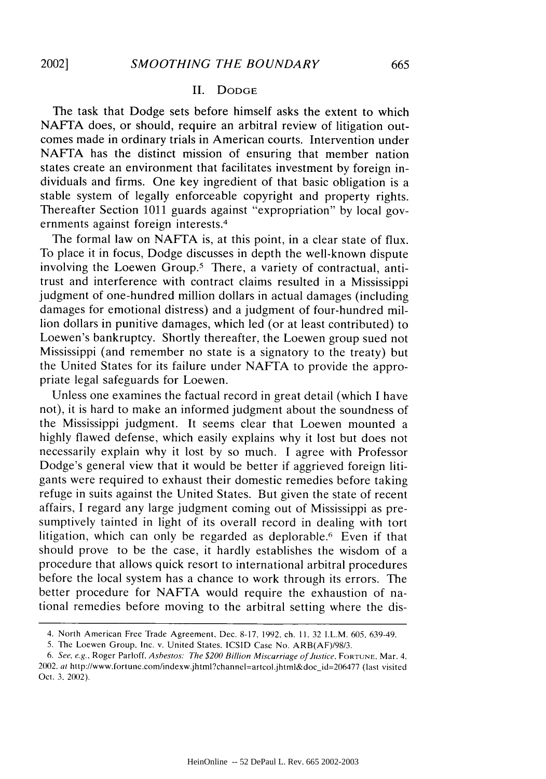### II. DODGE

The task that Dodge sets before himself asks the extent to which NAFTA does, or should, require an arbitral review of litigation outcomes made in ordinary trials in American courts. Intervention under NAFTA has the distinct mission of ensuring that member nation states create an environment that facilitates investment by foreign individuals and firms. One key ingredient of that basic obligation is a stable system of legally enforceable copyright and property rights. Thereafter Section 1011 guards against "expropriation" by local governments against foreign interests.<sup>4</sup>

The formal law on NAFTA is, at this point, in a clear state of flux. To place it in focus, Dodge discusses in depth the well-known dispute involving the Loewen Group.5 There, a variety of contractual, antitrust and interference with contract claims resulted in a Mississippi judgment of one-hundred million dollars in actual damages (including damages for emotional distress) and a judgment of four-hundred million dollars in punitive damages, which led (or at least contributed) to Loewen's bankruptcy. Shortly thereafter, the Loewen group sued not Mississippi (and remember no state is a signatory to the treaty) but the United States for its failure under NAFTA to provide the appropriate legal safeguards for Loewen.

Unless one examines the factual record in great detail (which I have not), it is hard to make an informed judgment about the soundness of the Mississippi judgment. It seems clear that Loewen mounted a highly flawed defense, which easily explains why it lost but does not necessarily explain why it lost by so much. I agree with Professor Dodge's general view that it would be better if aggrieved foreign litigants were required to exhaust their domestic remedies before taking refuge in suits against the United States. But given the state of recent affairs, I regard any large judgment coming out of Mississippi as presumptively tainted in light of its overall record in dealing with tort litigation, which can only be regarded as deplorable.<sup>6</sup> Even if that should prove to be the case, it hardly establishes the wisdom of a procedure that allows quick resort to international arbitral procedures before the local system has a chance to work through its errors. The better procedure for NAFTA would require the exhaustion of national remedies before moving to the arbitral setting where the dis-

<sup>4.</sup> North American Free Trade Agreement. Dec. 8-17. 1992. ch. 11. 32 I.L.M. 605. 639-49.

<sup>5.</sup> The Loewen Group. Inc. v. United States. ICSID Case No. ARB(AF)/98/3.

*<sup>6.</sup>* See, *e.g..* Roger Parloff, *Asbestos: The* \$200 Billion *Miscarriage of Justice.* **FORTUNE.** Mar. 4. *2002. at* http://www.fortune.com/indexw.jhtml?channel=artcol.jhtml&doc-id=206477 (last visited Oct. *3.* 2002).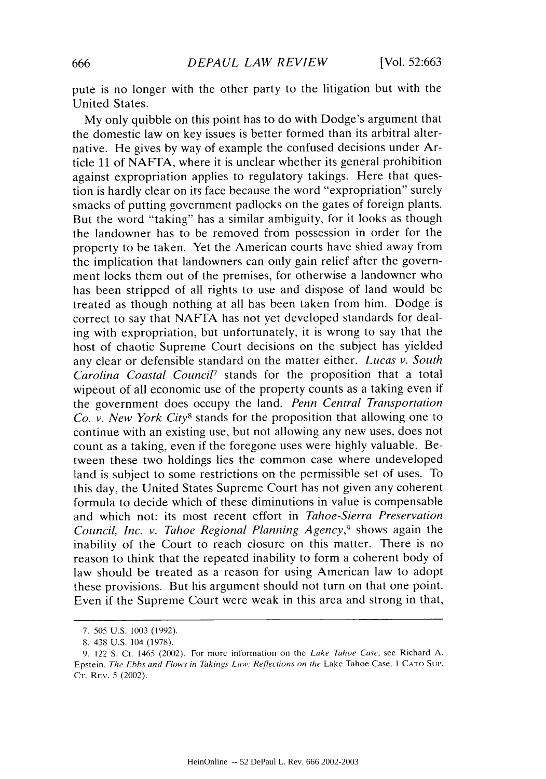pute is no longer with the other party to the litigation but with the United States.

My only quibble on this point has to do with Dodge's argument that the domestic law on key issues is better formed than its arbitral alternative. He gives by way of example the confused decisions under Article 11 of NAFTA, where it is unclear whether its general prohibition against expropriation applies to regulatory takings. Here that question is hardly clear on its face because the word "expropriation" surely smacks of putting government padlocks on the gates of foreign plants. But the word "taking" has a similar ambiguity, for it looks as though the landowner has to be removed from possession in order for the property to be taken. Yet the American courts have shied away from the implication that landowners can only gain relief after the government locks them out of the premises, for otherwise a landowner who has been stripped of all rights to use and dispose of land would be treated as though nothing at all has been taken from him. Dodge is correct to say that NAFTA has not yet developed standards for dealing with expropriation, but unfortunately, it is wrong to say that the host of chaotic Supreme Court decisions on the subject has yielded any clear or defensible standard on the matter either. *Lucas v. South* Carolina Coastal Council<sup>7</sup> stands for the proposition that a total wipeout of all economic use of the property counts as a taking even if the government does occupy the land. *Penn Central Transportation Co. v. New York City8* stands for the proposition that allowing one to continue with an existing use, but not allowing any new uses, does not count as a taking, even if the foregone uses were highly valuable. Between these two holdings lies the common case where undeveloped land is subject to some restrictions on the permissible set of uses. To this day, the United States Supreme Court has not given any coherent formula to decide which of these diminutions in value is compensable and which not: its most recent effort in *Tahoe-Sierra Preservation Council, Inc. v. Tahoe Regional Planning Agency,9* shows again the inability of the Court to reach closure on this matter. There is no reason to think that the repeated inability to form a coherent body of law should be treated as a reason for using American law to adopt these provisions. But his argument should not turn on that one point. Even if the Supreme Court were weak in this area and strong in that,

<sup>7. 505</sup> U.S. 1003 (1992).

<sup>8. 438</sup> U.S. 104 (1978).

<sup>9. 122</sup> **S.** Ct. 1465 (2002). For more information on the *Lake Tahoe Case,* see Richard A. Epstein. The Ebbs and Flows in *Takings Law: Reflections on* the Lake Tahoe Case, **I CATO Sup.** Cr. REV. 5 (2002).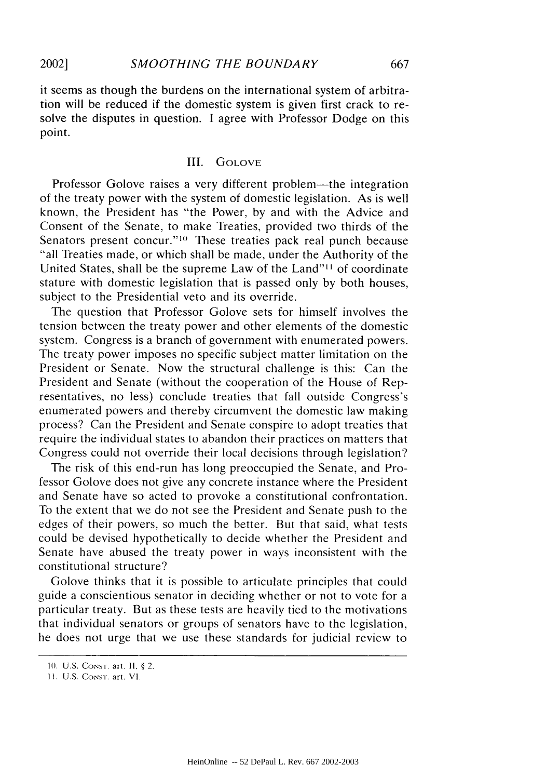it seems as though the burdens on the international system of arbitration will be reduced if the domestic system is given first crack to resolve the disputes in question. I agree with Professor Dodge on this point.

#### III. GOLOVE

Professor Golove raises a very different problem—the integration of the treaty power with the system of domestic legislation. As is well known, the President has "the Power, by and with the Advice and Consent of the Senate, to make Treaties, provided two thirds of the Senators present concur."<sup>10</sup> These treaties pack real punch because "all Treaties made, or which shall be made, under the Authority of the United States, shall be the supreme Law of the Land"'l of coordinate stature with domestic legislation that is passed only by both houses, subject to the Presidential veto and its override.

The question that Professor Golove sets for himself involves the tension between the treaty power and other elements of the domestic system. Congress is a branch of government with enumerated powers. The treaty power imposes no specific subject matter limitation on the President or Senate. Now the structural challenge is this: Can the President and Senate (without the cooperation of the House of Representatives, no less) conclude treaties that fall outside Congress's enumerated powers and thereby circumvent the domestic law making process? Can the President and Senate conspire to adopt treaties that require the individual states to abandon their practices on matters that Congress could not override their local decisions through legislation?

The risk of this end-run has long preoccupied the Senate, and Professor Golove does not give any concrete instance where the President and Senate have so acted to provoke a constitutional confrontation. To the extent that we do not see the President and Senate push to the edges of their powers, so much the better. But that said, what tests could be devised hypothetically to decide whether the President and Senate have abused the treaty power in ways inconsistent with the constitutional structure?

Golove thinks that it is possible to articulate principles that could guide a conscientious senator in deciding whether or not to vote for a particular treaty. But as these tests are heavily tied to the motivations that individual senators or groups of senators have to the legislation, he does not urge that we use these standards for judicial review to

**<sup>10.</sup> U.S. CONST.** art. **11,** § 2.

**<sup>11.</sup>** U.S. CoNsT. art. VI.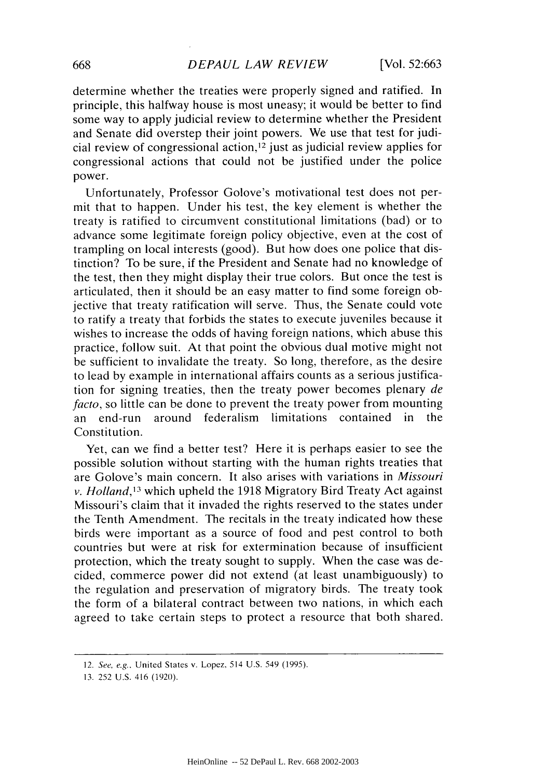determine whether the treaties were properly signed and ratified. In principle, this halfway house is most uneasy; it would be better to find some way to apply judicial review to determine whether the President and Senate did overstep their joint powers. We use that test for judicial review of congressional action, 12 just as judicial review applies for congressional actions that could not be justified under the police power.

Unfortunately, Professor Golove's motivational test does not permit that to happen. Under his test, the key element is whether the treaty is ratified to circumvent constitutional limitations (bad) or to advance some legitimate foreign policy objective, even at the cost of trampling on local interests (good). But how does one police that distinction? To be sure, if the President and Senate had no knowledge of the test, then they might display their true colors. But once the test is articulated, then it should be an easy matter to find some foreign objective that treaty ratification will serve. Thus, the Senate could vote to ratify a treaty that forbids the states to execute juveniles because it wishes to increase the odds of having foreign nations, which abuse this practice, follow suit. At that point the obvious dual motive might not be sufficient to invalidate the treaty. So long, therefore, as the desire to lead by example in international affairs counts as a serious justification for signing treaties, then the treaty power becomes plenary *de facto,* so little can be done to prevent the treaty power from mounting an end-run around federalism limitations contained in the Constitution.

Yet, can we find a better test? Here it is perhaps easier to see the possible solution without starting with the human rights treaties that are Golove's main concern. It also arises with variations in *Missouri v. Holland,1 <sup>3</sup>*which upheld the 1918 Migratory Bird Treaty Act against Missouri's claim that it invaded the rights reserved to the states under the Tenth Amendment. The recitals in the treaty indicated how these birds were important as a source of food and pest control to both countries but were at risk for extermination because of insufficient protection, which the treaty sought to supply. When the case was decided, commerce power did not extend (at least unambiguously) to the regulation and preservation of migratory birds. The treaty took the form of a bilateral contract between two nations, in which each agreed to take certain steps to protect a resource that both shared.

<sup>12.</sup> See, e.g.. United States v. Lopez. 514 U.S. 549 (1995).

<sup>13. 252</sup> U.S. 416 (1920).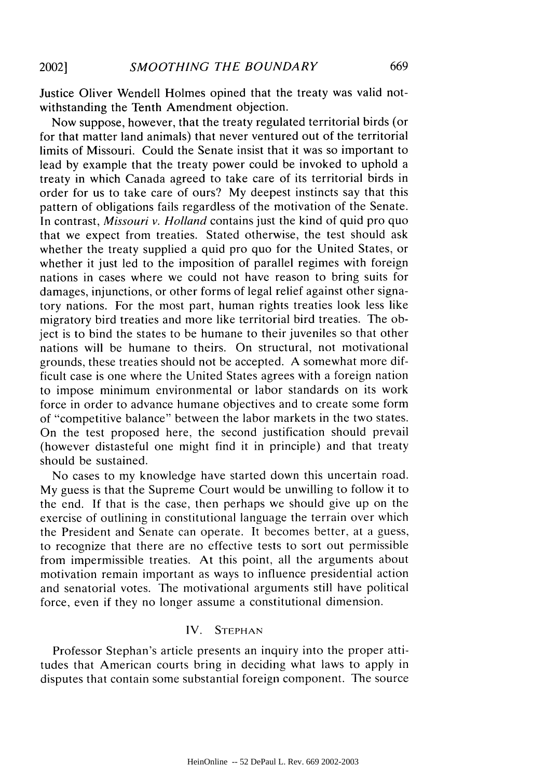Justice Oliver Wendell Holmes opined that the treaty was valid notwithstanding the Tenth Amendment objection.

Now suppose, however, that the treaty regulated territorial birds (or for that matter land animals) that never ventured out of the territorial limits of Missouri. Could the Senate insist that it was so important to lead by example that the treaty power could be invoked to uphold a treaty in which Canada agreed to take care of its territorial birds in order for us to take care of ours? My deepest instincts say that this pattern of obligations fails regardless of the motivation of the Senate. In contrast, *Missouri v. Holland* contains just the kind of quid pro quo that we expect from treaties. Stated otherwise, the test should ask whether the treaty supplied a quid pro quo for the United States, or whether it just led to the imposition of parallel regimes with foreign nations in cases where we could not have reason to bring suits for damages, injunctions, or other forms of legal relief against other signatory nations. For the most part, human rights treaties look less like migratory bird treaties and more like territorial bird treaties. The object is to bind the states to be humane to their juveniles so that other nations will be humane to theirs. On structural, not motivational grounds, these treaties should not be accepted. A somewhat more difficult case is one where the United States agrees with a foreign nation to impose minimum environmental or labor standards on its work force in order to advance humane objectives and to create some form of "competitive balance" between the labor markets in the two states. On the test proposed here, the second justification should prevail (however distasteful one might find it in principle) and that treaty should be sustained.

No cases to my knowledge have started down this uncertain road. My guess is that the Supreme Court would be unwilling to follow it to the end. If that is the case, then perhaps we should give up on the exercise of outlining in constitutional language the terrain over which the President and Senate can operate. It becomes better, at a guess, to recognize that there are no effective tests to sort out permissible from impermissible treaties. At this point, all the arguments about motivation remain important as ways to influence presidential action and senatorial votes. The motivational arguments still have political force, even if they no longer assume a constitutional dimension.

### IV. **STEPHAN**

Professor Stephan's article presents an inquiry into the proper attitudes that American courts bring in deciding what laws to apply in disputes that contain some substantial foreign component. The source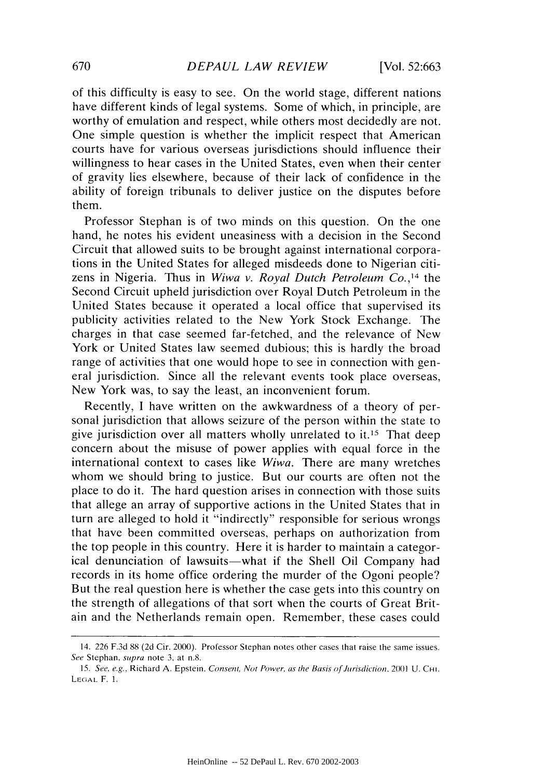of this difficulty is easy to see. On the world stage, different nations have different kinds of legal systems. Some of which, in principle, are worthy of emulation and respect, while others most decidedly are not. One simple question is whether the implicit respect that American courts have for various overseas jurisdictions should influence their willingness to hear cases in the United States, even when their center of gravity lies elsewhere, because of their lack of confidence in the ability of foreign tribunals to deliver justice on the disputes before them.

Professor Stephan is of two minds on this question. On the one hand, he notes his evident uneasiness with a decision in the Second Circuit that allowed suits to be brought against international corporations in the United States for alleged misdeeds done to Nigerian citizens in Nigeria. Thus in *Wiwa v. Royal Dutch Petroleum Co.,14* the Second Circuit upheld jurisdiction over Royal Dutch Petroleum in the United States because it operated a local office that supervised its publicity activities related to the New York Stock Exchange. The charges in that case seemed far-fetched, and the relevance of New York or United States law seemed dubious; this is hardly the broad range of activities that one would hope to see in connection with general jurisdiction. Since all the relevant events took place overseas, New York was, to say the least, an inconvenient forum.

Recently, I have written on the awkwardness of a theory of personal jurisdiction that allows seizure of the person within the state to give jurisdiction over all matters wholly unrelated to it.<sup>15</sup> That deep concern about the misuse of power applies with equal force in the international context to cases like *Wiwa.* There are many wretches whom we should bring to justice. But our courts are often not the place to do it. The hard question arises in connection with those suits that allege an array of supportive actions in the United States that in turn are alleged to hold it "indirectly" responsible for serious wrongs that have been committed overseas, perhaps on authorization from the top people in this country. Here it is harder to maintain a categorical denunciation of lawsuits—what if the Shell Oil Company had records in its home office ordering the murder of the Ogoni people? But the real question here is whether the case gets into this country on the strength of allegations of that sort when the courts of Great Britain and the Netherlands remain open. Remember, these cases could

<sup>14. 226</sup> F.3d 88 (2d Cir. 2000). Professor Stephan notes other cases that raise the same issues. *See* Stephan. *supra* note **3.** at n.8.

<sup>15.</sup> See. *e.g.,* Richard A. Epstein. *Consent, Not* Power, *as the Basis of Jirisdiction.* 2001 U. **CHI. LEGAL** F. 1.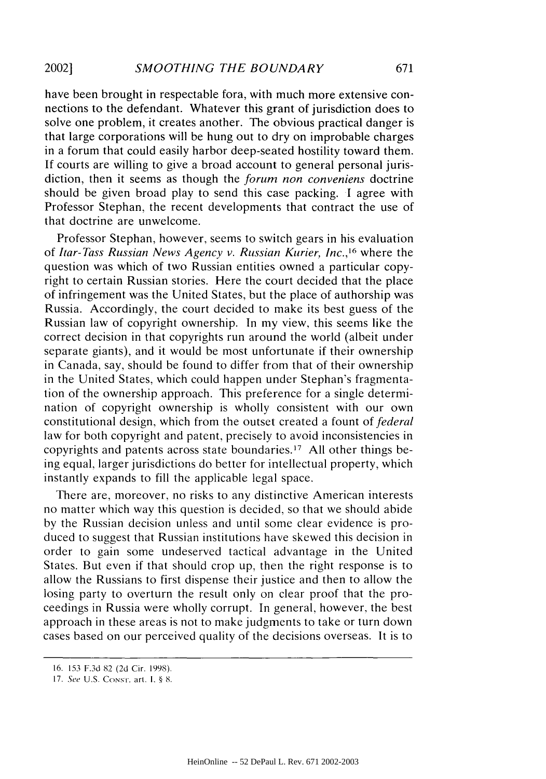have been brought in respectable fora, with much more extensive connections to the defendant. Whatever this grant of jurisdiction does to solve one problem, it creates another. The obvious practical danger is that large corporations will be hung out to dry on improbable charges in a forum that could easily harbor deep-seated hostility toward them. If courts are willing to give a broad account to general personal jurisdiction, then it seems as though the *forum non conveniens* doctrine should be given broad play to send this case packing. I agree with Professor Stephan, the recent developments that contract the use of that doctrine are unwelcome.

Professor Stephan, however, seems to switch gears in his evaluation of *Itar-Tass Russian News Agency v. Russian Kurier, Inc., <sup>16</sup>*where the question was which of two Russian entities owned a particular copyright to certain Russian stories. Here the court decided that the place of infringement was the United States, but the place of authorship was Russia. Accordingly, the court decided to make its best guess of the Russian law of copyright ownership. In my view, this seems like the correct decision in that copyrights run around the world (albeit under separate giants), and it would be most unfortunate if their ownership in Canada, say, should be found to differ from that of their ownership in the United States, which could happen under Stephan's fragmentation of the ownership approach. This preference for a single determination of copyright ownership is wholly consistent with our own constitutional design, which from the outset created a fount of *federal* law for both copyright and patent, precisely to avoid inconsistencies in copyrights and patents across state boundaries. 17 All other things being equal, larger jurisdictions do better for intellectual property, which instantly expands to fill the applicable legal space.

There are, moreover, no risks to any distinctive American interests no matter which way this question is decided, so that we should abide by the Russian decision unless and until some clear evidence is produced to suggest that Russian institutions have skewed this decision in order to gain some undeserved tactical advantage in the United States. But even if that should crop up, then the right response is to allow the Russians to first dispense their justice and then to allow the losing party to overturn the result only on clear proof that the proceedings in Russia were wholly corrupt. In general, however, the best approach in these areas is not to make judgments to take or turn down cases based on our perceived quality of the decisions overseas. It is to

**<sup>16.</sup> 153 F.3d 82 (2d** Cir. **1998).**

*<sup>17.</sup> See* U.S. CoNsT. art. **1. §** 8.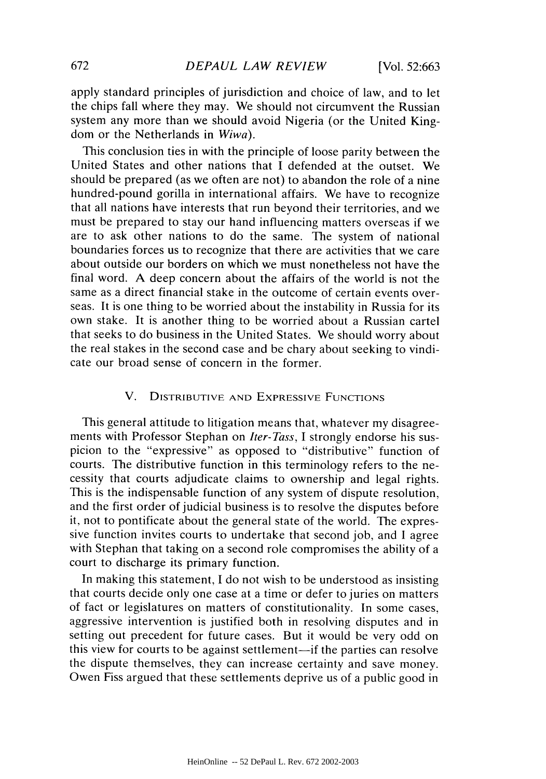apply standard principles of jurisdiction and choice of law, and to let the chips fall where they may. We should not circumvent the Russian system any more than we should avoid Nigeria (or the United Kingdom or the Netherlands in *Wiwa).*

This conclusion ties in with the principle of loose parity between the United States and other nations that I defended at the outset. We should be prepared (as we often are not) to abandon the role of a nine hundred-pound gorilla in international affairs. We have to recognize that all nations have interests that run beyond their territories, and we must be prepared to stay our hand influencing matters overseas if we are to ask other nations to do the same. The system of national boundaries forces us to recognize that there are activities that we care about outside our borders on which we must nonetheless not have the final word. A deep concern about the affairs of the world is not the same as a direct financial stake in the outcome of certain events overseas. It is one thing to be worried about the instability in Russia for its own stake. It is another thing to be worried about a Russian cartel that seeks to do business in the United States. We should worry about the real stakes in the second case and be chary about seeking to vindicate our broad sense of concern in the former.

# V. DISTRIBUTIVE **AND** EXPRESSIVE **FUNCTIONS**

This general attitude to litigation means that, whatever my disagreements with Professor Stephan on *Iter-Tass,* I strongly endorse his suspicion to the "expressive" as opposed to "distributive" function of courts. The distributive function in this terminology refers to the necessity that courts adjudicate claims to ownership and legal rights. This is the indispensable function of any system of dispute resolution, and the first order of judicial business is to resolve the disputes before it, not to pontificate about the general state of the world. The expressive function invites courts to undertake that second job, and I agree with Stephan that taking on a second role compromises the ability of a court to discharge its primary function.

In making this statement, I do not wish to be understood as insisting that courts decide only one case at a time or defer to juries on matters of fact or legislatures on matters of constitutionality. In some cases, aggressive intervention is justified both in resolving disputes and in setting out precedent for future cases. But it would be very odd on this view for courts to be against settlement-if the parties can resolve the dispute themselves, they can increase certainty and save money. Owen Fiss argued that these settlements deprive us of a public good in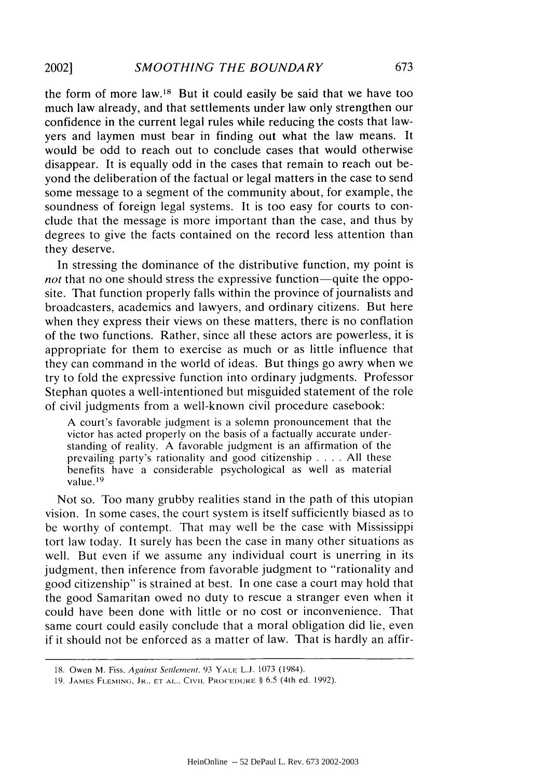the form of more law.18 But it could easily be said that we have too much law already, and that settlements under law only strengthen our confidence in the current legal rules while reducing the costs that lawyers and laymen must bear in finding out what the law means. It would be odd to reach out to conclude cases that would otherwise disappear. It is equally odd in the cases that remain to reach out beyond the deliberation of the factual or legal matters in the case to send some message to a segment of the community about, for example, the soundness of foreign legal systems. It is too easy for courts to conclude that the message is more important than the case, and thus by degrees to give the facts contained on the record less attention than they deserve.

In stressing the dominance of the distributive function, my point is *not* that no one should stress the expressive function—quite the opposite. That function properly falls within the province of journalists and broadcasters, academics and lawyers, and ordinary citizens. But here when they express their views on these matters, there is no conflation of the two functions. Rather, since all these actors are powerless, it is appropriate for them to exercise as much or as little influence that they can command in the world of ideas. But things go awry when we try to fold the expressive function into ordinary judgments. Professor Stephan quotes a well-intentioned but misguided statement of the role of civil judgments from a well-known civil procedure casebook:

A court's favorable judgment is a solemn pronouncement that the victor has acted properly on the basis of a factually accurate understanding of reality. A favorable judgment is an affirmation of the prevailing party's rationality and good citizenship .... All these benefits have a considerable psychological as well as material value. <sup>19</sup>

Not so. Too many grubby realities stand in the path of this utopian vision. In some cases, the court system is itself sufficiently biased as to be worthy of contempt. That may well be the case with Mississippi tort law today. It surely has been the case in many other situations as well. But even if we assume any individual court is unerring in its judgment, then inference from favorable judgment to "rationality and good citizenship" is strained at best. In one case a court may hold that the good Samaritan owed no duty to rescue a stranger even when it could have been done with little or no cost or inconvenience. That same court could easily conclude that a moral obligation did lie, even if it should not be enforced as a matter of law. That is hardly an affir-

<sup>18.</sup> Owen M. Fiss, Against Settlement. 93 YALE L.J. 1073 (1984).

<sup>19.</sup> **JAMES FLEMING.** JR., **ET AL.. CIVIL** PROCEDURE § 6.5 (4th ed. 1992).